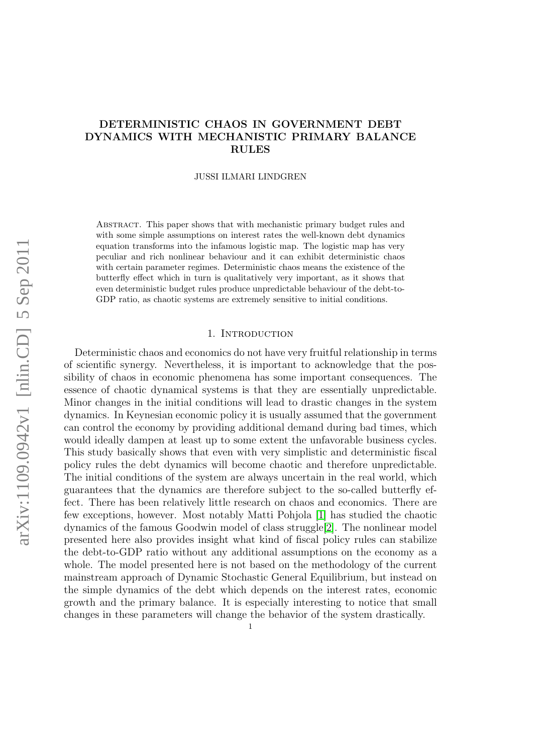# DETERMINISTIC CHAOS IN GOVERNMENT DEBT DYNAMICS WITH MECHANISTIC PRIMARY BALANCE RULES

JUSSI ILMARI LINDGREN

Abstract. This paper shows that with mechanistic primary budget rules and with some simple assumptions on interest rates the well-known debt dynamics equation transforms into the infamous logistic map. The logistic map has very peculiar and rich nonlinear behaviour and it can exhibit deterministic chaos with certain parameter regimes. Deterministic chaos means the existence of the butterfly effect which in turn is qualitatively very important, as it shows that even deterministic budget rules produce unpredictable behaviour of the debt-to-GDP ratio, as chaotic systems are extremely sensitive to initial conditions.

### 1. INTRODUCTION

Deterministic chaos and economics do not have very fruitful relationship in terms of scientific synergy. Nevertheless, it is important to acknowledge that the possibility of chaos in economic phenomena has some important consequences. The essence of chaotic dynamical systems is that they are essentially unpredictable. Minor changes in the initial conditions will lead to drastic changes in the system dynamics. In Keynesian economic policy it is usually assumed that the government can control the economy by providing additional demand during bad times, which would ideally dampen at least up to some extent the unfavorable business cycles. This study basically shows that even with very simplistic and deterministic fiscal policy rules the debt dynamics will become chaotic and therefore unpredictable. The initial conditions of the system are always uncertain in the real world, which guarantees that the dynamics are therefore subject to the so-called butterfly effect. There has been relatively little research on chaos and economics. There are few exceptions, however. Most notably Matti Pohjola [\[1\]](#page-9-0) has studied the chaotic dynamics of the famous Goodwin model of class struggle[\[2\]](#page-9-1). The nonlinear model presented here also provides insight what kind of fiscal policy rules can stabilize the debt-to-GDP ratio without any additional assumptions on the economy as a whole. The model presented here is not based on the methodology of the current mainstream approach of Dynamic Stochastic General Equilibrium, but instead on the simple dynamics of the debt which depends on the interest rates, economic growth and the primary balance. It is especially interesting to notice that small changes in these parameters will change the behavior of the system drastically.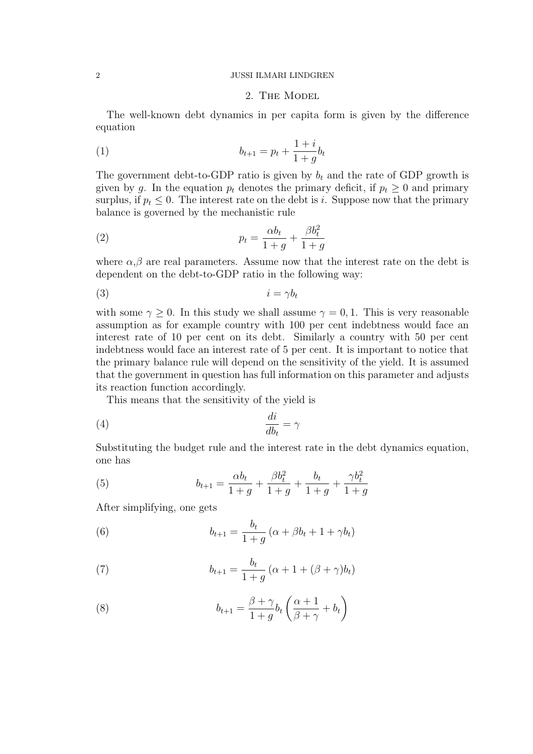#### 2 JUSSI ILMARI LINDGREN

## 2. The Model

The well-known debt dynamics in per capita form is given by the difference equation

(1) 
$$
b_{t+1} = p_t + \frac{1+i}{1+g}b_t
$$

The government debt-to-GDP ratio is given by  $b_t$  and the rate of GDP growth is given by g. In the equation  $p_t$  denotes the primary deficit, if  $p_t \geq 0$  and primary surplus, if  $p_t \leq 0$ . The interest rate on the debt is *i*. Suppose now that the primary balance is governed by the mechanistic rule

(2) 
$$
p_t = \frac{\alpha b_t}{1+g} + \frac{\beta b_t^2}{1+g}
$$

where  $\alpha, \beta$  are real parameters. Assume now that the interest rate on the debt is dependent on the debt-to-GDP ratio in the following way:

$$
(3) \t\t i = \gamma b_t
$$

with some  $\gamma \geq 0$ . In this study we shall assume  $\gamma = 0, 1$ . This is very reasonable assumption as for example country with 100 per cent indebtness would face an interest rate of 10 per cent on its debt. Similarly a country with 50 per cent indebtness would face an interest rate of 5 per cent. It is important to notice that the primary balance rule will depend on the sensitivity of the yield. It is assumed that the government in question has full information on this parameter and adjusts its reaction function accordingly.

This means that the sensitivity of the yield is

$$
\frac{di}{db_t} = \gamma
$$

Substituting the budget rule and the interest rate in the debt dynamics equation, one has

(5) 
$$
b_{t+1} = \frac{\alpha b_t}{1+g} + \frac{\beta b_t^2}{1+g} + \frac{b_t}{1+g} + \frac{\gamma b_t^2}{1+g}
$$

After simplifying, one gets

(6) 
$$
b_{t+1} = \frac{b_t}{1+g} \left( \alpha + \beta b_t + 1 + \gamma b_t \right)
$$

(7) 
$$
b_{t+1} = \frac{b_t}{1+g} (\alpha + 1 + (\beta + \gamma)b_t)
$$

(8) 
$$
b_{t+1} = \frac{\beta + \gamma}{1 + g} b_t \left( \frac{\alpha + 1}{\beta + \gamma} + b_t \right)
$$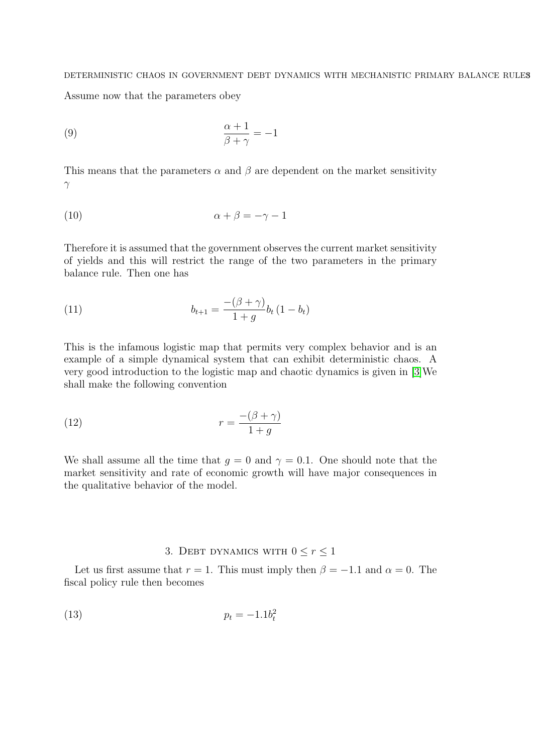### DETERMINISTIC CHAOS IN GOVERNMENT DEBT DYNAMICS WITH MECHANISTIC PRIMARY BALANCE RULES

Assume now that the parameters obey

$$
\frac{\alpha + 1}{\beta + \gamma} = -1
$$

This means that the parameters  $\alpha$  and  $\beta$  are dependent on the market sensitivity γ

$$
\alpha + \beta = -\gamma - 1
$$

Therefore it is assumed that the government observes the current market sensitivity of yields and this will restrict the range of the two parameters in the primary balance rule. Then one has

(11) 
$$
b_{t+1} = \frac{-(\beta + \gamma)}{1 + g} b_t (1 - b_t)
$$

This is the infamous logistic map that permits very complex behavior and is an example of a simple dynamical system that can exhibit deterministic chaos. A very good introduction to the logistic map and chaotic dynamics is given in [\[3\]](#page-9-2)We shall make the following convention

(12) 
$$
r = \frac{-(\beta + \gamma)}{1 + g}
$$

We shall assume all the time that  $g = 0$  and  $\gamma = 0.1$ . One should note that the market sensitivity and rate of economic growth will have major consequences in the qualitative behavior of the model.

# 3. DEBT DYNAMICS WITH  $0 \le r \le 1$

Let us first assume that  $r = 1$ . This must imply then  $\beta = -1.1$  and  $\alpha = 0$ . The fiscal policy rule then becomes

$$
(13) \qquad \qquad p_t = -1.1b_t^2
$$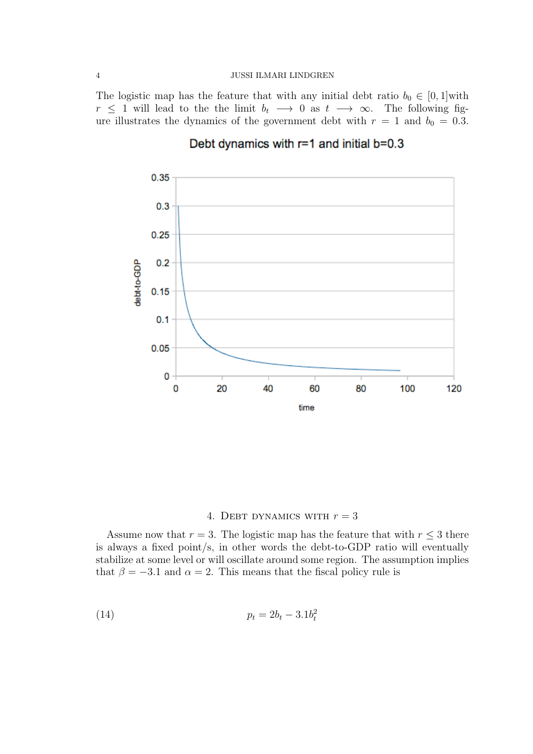### 4 JUSSI ILMARI LINDGREN

The logistic map has the feature that with any initial debt ratio  $b_0 \in [0,1]$  with  $r \leq 1$  will lead to the the limit  $b_t \rightarrow 0$  as  $t \rightarrow \infty$ . The following figure illustrates the dynamics of the government debt with  $r = 1$  and  $b_0 = 0.3$ .



# Debt dynamics with  $r=1$  and initial  $b=0.3$

# 4. DEBT DYNAMICS WITH  $r = 3$

Assume now that  $r = 3$ . The logistic map has the feature that with  $r \leq 3$  there is always a fixed point/s, in other words the debt-to-GDP ratio will eventually stabilize at some level or will oscillate around some region. The assumption implies that  $\beta = -3.1$  and  $\alpha = 2$ . This means that the fiscal policy rule is

(14) 
$$
p_t = 2b_t - 3.1b_t^2
$$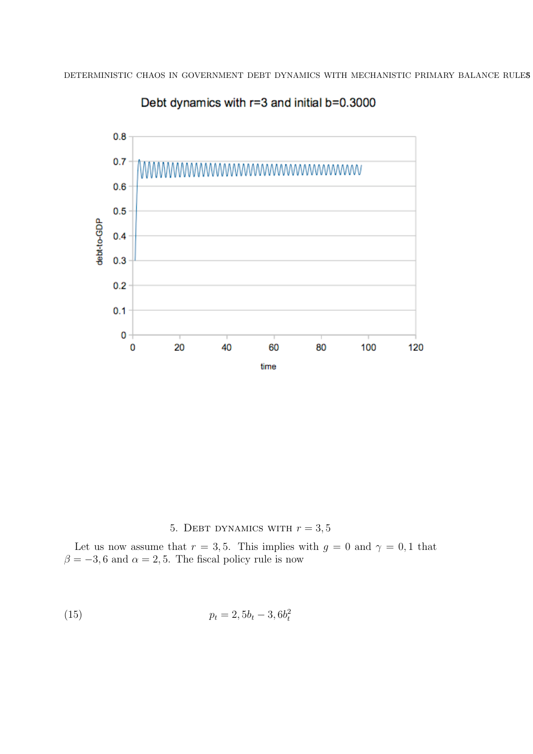

Debt dynamics with r=3 and initial b=0.3000

5. DEBT DYNAMICS WITH  $r = 3, 5$ 

Let us now assume that  $r = 3, 5$ . This implies with  $g = 0$  and  $\gamma = 0, 1$  that  $\beta = -3, 6$  and  $\alpha = 2, 5$ . The fiscal policy rule is now

(15) 
$$
p_t = 2, 5b_t - 3, 6b_t^2
$$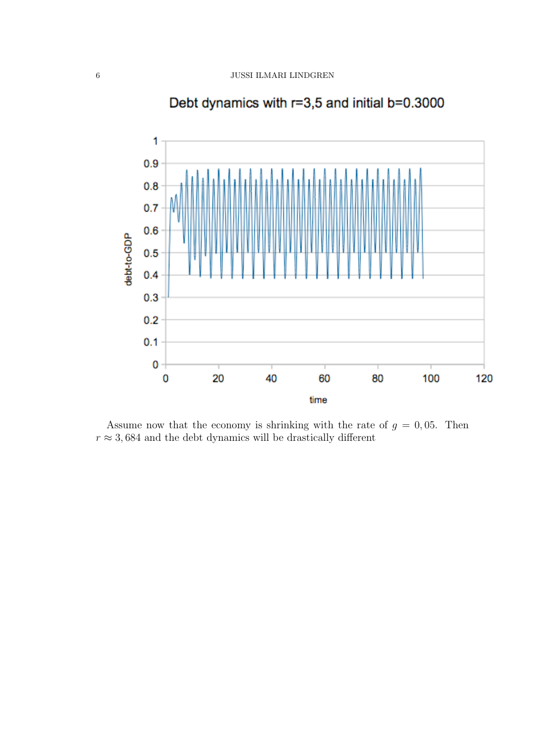

Debt dynamics with r=3,5 and initial b=0.3000

Assume now that the economy is shrinking with the rate of  $g = 0,05$ . Then  $r \approx 3,684$  and the debt dynamics will be drastically different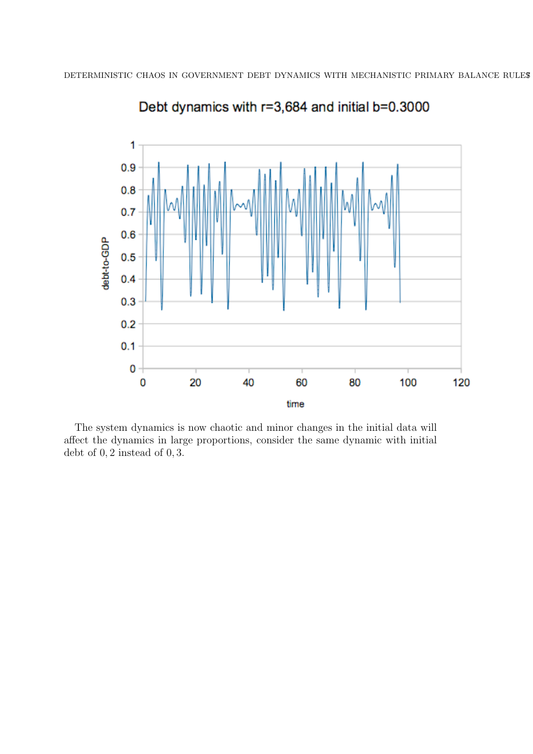

Debt dynamics with r=3,684 and initial b=0.3000

The system dynamics is now chaotic and minor changes in the initial data will affect the dynamics in large proportions, consider the same dynamic with initial debt of 0, 2 instead of 0, 3.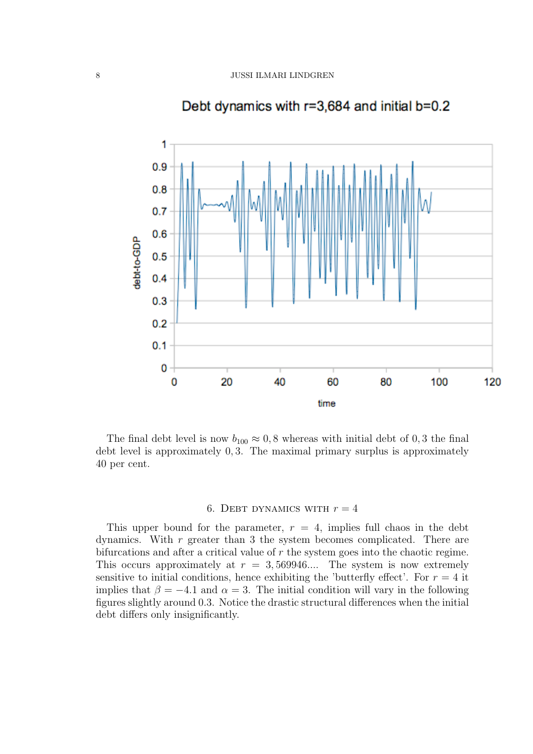

# Debt dynamics with r=3,684 and initial b=0.2

The final debt level is now  $b_{100} \approx 0.8$  whereas with initial debt of 0.3 the final debt level is approximately 0, 3. The maximal primary surplus is approximately 40 per cent.

## 6. DEBT DYNAMICS WITH  $r = 4$

This upper bound for the parameter,  $r = 4$ , implies full chaos in the debt dynamics. With  $r$  greater than 3 the system becomes complicated. There are bifurcations and after a critical value of  $r$  the system goes into the chaotic regime. This occurs approximately at  $r = 3,569946...$  The system is now extremely sensitive to initial conditions, hence exhibiting the 'butterfly effect'. For  $r = 4$  it implies that  $\beta = -4.1$  and  $\alpha = 3$ . The initial condition will vary in the following figures slightly around 0.3. Notice the drastic structural differences when the initial debt differs only insignificantly.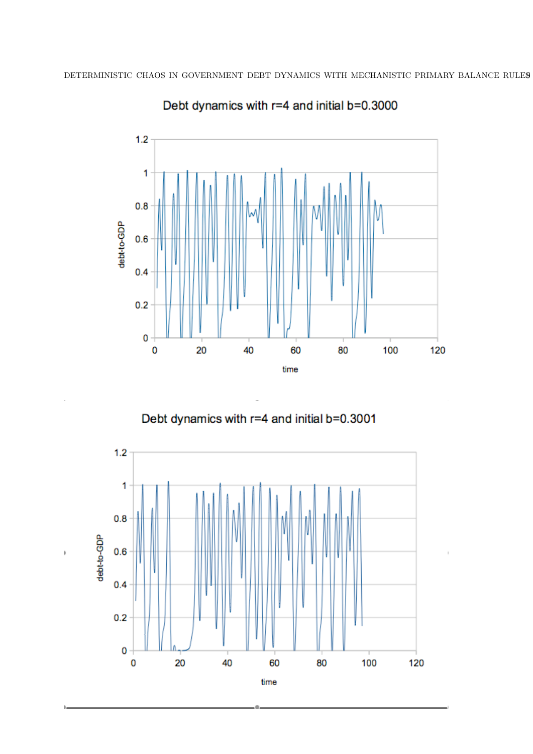

Debt dynamics with r=4 and initial b=0.3000





 $\overline{1}$